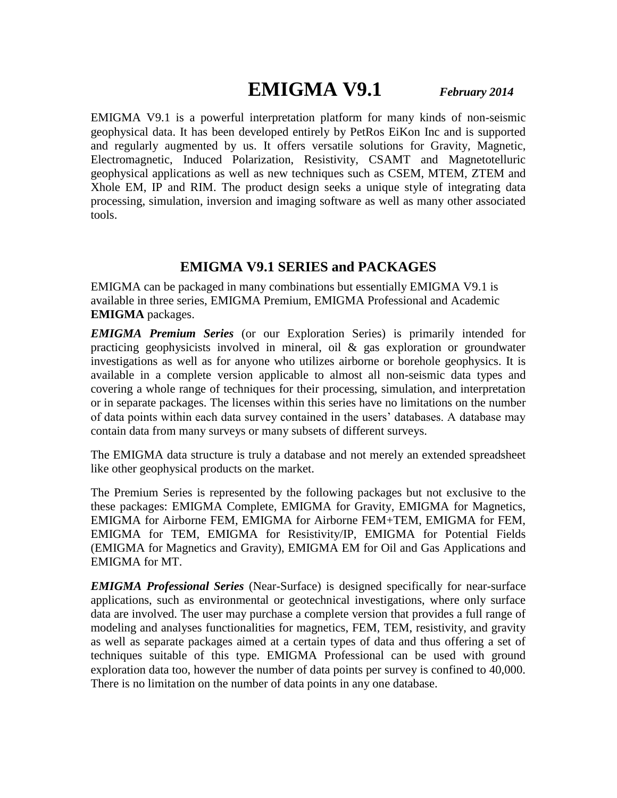# **EMIGMA V9.1** *February 2014*

EMIGMA V9.1 is a powerful interpretation platform for many kinds of non-seismic geophysical data. It has been developed entirely by PetRos EiKon Inc and is supported and regularly augmented by us. It offers versatile solutions for Gravity, Magnetic, Electromagnetic, Induced Polarization, Resistivity, CSAMT and Magnetotelluric geophysical applications as well as new techniques such as CSEM, MTEM, ZTEM and Xhole EM, IP and RIM. The product design seeks a unique style of integrating data processing, simulation, inversion and imaging software as well as many other associated tools.

#### **EMIGMA V9.1 SERIES and PACKAGES**

EMIGMA can be packaged in many combinations but essentially EMIGMA V9.1 is available in three series, EMIGMA Premium, EMIGMA Professional and Academic **EMIGMA** packages.

*EMIGMA Premium Series* (or our Exploration Series) is primarily intended for practicing geophysicists involved in mineral, oil  $\&$  gas exploration or groundwater investigations as well as for anyone who utilizes airborne or borehole geophysics. It is available in a complete version applicable to almost all non-seismic data types and covering a whole range of techniques for their processing, simulation, and interpretation or in separate packages. The licenses within this series have no limitations on the number of data points within each data survey contained in the users' databases. A database may contain data from many surveys or many subsets of different surveys.

The EMIGMA data structure is truly a database and not merely an extended spreadsheet like other geophysical products on the market.

The Premium Series is represented by the following packages but not exclusive to the these packages: EMIGMA Complete, EMIGMA for Gravity, EMIGMA for Magnetics, EMIGMA for Airborne FEM, EMIGMA for Airborne FEM+TEM, EMIGMA for FEM, EMIGMA for TEM, EMIGMA for Resistivity/IP, EMIGMA for Potential Fields (EMIGMA for Magnetics and Gravity), EMIGMA EM for Oil and Gas Applications and EMIGMA for MT.

*EMIGMA Professional Series* (Near-Surface) is designed specifically for near-surface applications, such as environmental or geotechnical investigations, where only surface data are involved. The user may purchase a complete version that provides a full range of modeling and analyses functionalities for magnetics, FEM, TEM, resistivity, and gravity as well as separate packages aimed at a certain types of data and thus offering a set of techniques suitable of this type. EMIGMA Professional can be used with ground exploration data too, however the number of data points per survey is confined to 40,000. There is no limitation on the number of data points in any one database.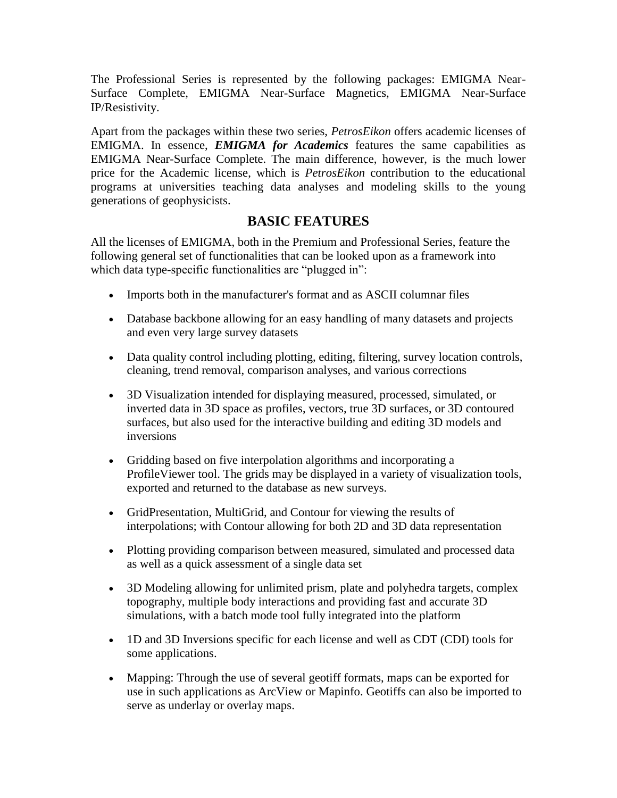The Professional Series is represented by the following packages: EMIGMA Near-Surface Complete, EMIGMA Near-Surface Magnetics, EMIGMA Near-Surface IP/Resistivity.

Apart from the packages within these two series, *PetrosEikon* offers academic licenses of EMIGMA. In essence, *EMIGMA for Academics* features the same capabilities as EMIGMA Near-Surface Complete. The main difference, however, is the much lower price for the Academic license, which is *PetrosEikon* contribution to the educational programs at universities teaching data analyses and modeling skills to the young generations of geophysicists.

### **BASIC FEATURES**

All the licenses of EMIGMA, both in the Premium and Professional Series, feature the following general set of functionalities that can be looked upon as a framework into which data type-specific functionalities are "plugged in":

- Imports both in the manufacturer's format and as ASCII columnar files
- Database backbone allowing for an easy handling of many datasets and projects and even very large survey datasets
- Data quality control including plotting, editing, filtering, survey location controls, cleaning, trend removal, comparison analyses, and various corrections
- 3D Visualization intended for displaying measured, processed, simulated, or inverted data in 3D space as profiles, vectors, true 3D surfaces, or 3D contoured surfaces, but also used for the interactive building and editing 3D models and inversions
- Gridding based on five interpolation algorithms and incorporating a ProfileViewer tool. The grids may be displayed in a variety of visualization tools, exported and returned to the database as new surveys.
- GridPresentation, MultiGrid, and Contour for viewing the results of interpolations; with Contour allowing for both 2D and 3D data representation
- Plotting providing comparison between measured, simulated and processed data as well as a quick assessment of a single data set
- 3D Modeling allowing for unlimited prism, plate and polyhedra targets, complex topography, multiple body interactions and providing fast and accurate 3D simulations, with a batch mode tool fully integrated into the platform
- 1D and 3D Inversions specific for each license and well as CDT (CDI) tools for some applications.
- Mapping: Through the use of several geotiff formats, maps can be exported for use in such applications as ArcView or Mapinfo. Geotiffs can also be imported to serve as underlay or overlay maps.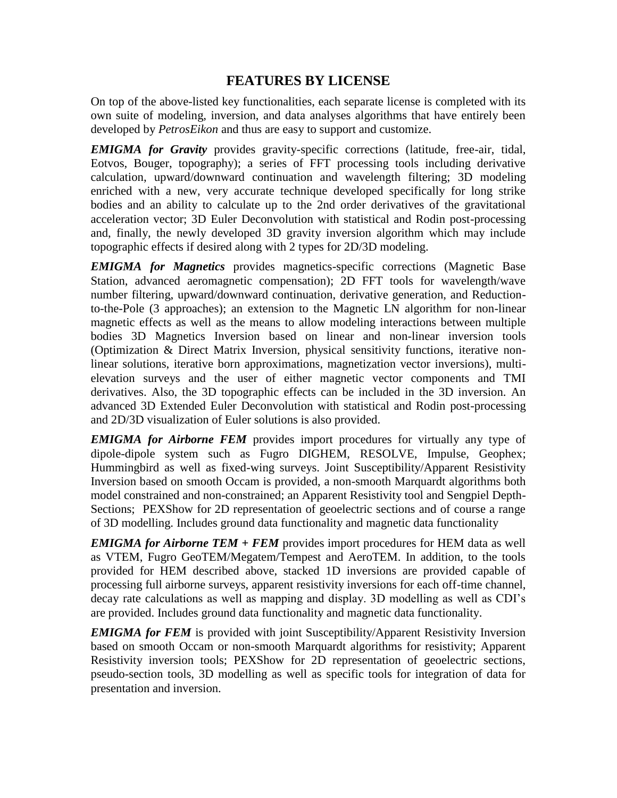# **FEATURES BY LICENSE**

On top of the above-listed key functionalities, each separate license is completed with its own suite of modeling, inversion, and data analyses algorithms that have entirely been developed by *PetrosEikon* and thus are easy to support and customize.

*EMIGMA for Gravity* provides gravity-specific corrections (latitude, free-air, tidal, Eotvos, Bouger, topography); a series of FFT processing tools including derivative calculation, upward/downward continuation and wavelength filtering; 3D modeling enriched with a new, very accurate technique developed specifically for long strike bodies and an ability to calculate up to the 2nd order derivatives of the gravitational acceleration vector; 3D Euler Deconvolution with statistical and Rodin post-processing and, finally, the newly developed 3D gravity inversion algorithm which may include topographic effects if desired along with 2 types for 2D/3D modeling.

*EMIGMA for Magnetics* provides magnetics-specific corrections (Magnetic Base Station, advanced aeromagnetic compensation); 2D FFT tools for wavelength/wave number filtering, upward/downward continuation, derivative generation, and Reductionto-the-Pole (3 approaches); an extension to the Magnetic LN algorithm for non-linear magnetic effects as well as the means to allow modeling interactions between multiple bodies 3D Magnetics Inversion based on linear and non-linear inversion tools (Optimization & Direct Matrix Inversion, physical sensitivity functions, iterative nonlinear solutions, iterative born approximations, magnetization vector inversions), multielevation surveys and the user of either magnetic vector components and TMI derivatives. Also, the 3D topographic effects can be included in the 3D inversion. An advanced 3D Extended Euler Deconvolution with statistical and Rodin post-processing and 2D/3D visualization of Euler solutions is also provided.

*EMIGMA for Airborne FEM* provides import procedures for virtually any type of dipole-dipole system such as Fugro DIGHEM, RESOLVE, Impulse, Geophex; Hummingbird as well as fixed-wing surveys. Joint Susceptibility/Apparent Resistivity Inversion based on smooth Occam is provided, a non-smooth Marquardt algorithms both model constrained and non-constrained; an Apparent Resistivity tool and Sengpiel Depth-Sections; PEXShow for 2D representation of geoelectric sections and of course a range of 3D modelling. Includes ground data functionality and magnetic data functionality

*EMIGMA for Airborne TEM + FEM* provides import procedures for HEM data as well as VTEM, Fugro GeoTEM/Megatem/Tempest and AeroTEM. In addition, to the tools provided for HEM described above, stacked 1D inversions are provided capable of processing full airborne surveys, apparent resistivity inversions for each off-time channel, decay rate calculations as well as mapping and display. 3D modelling as well as CDI's are provided. Includes ground data functionality and magnetic data functionality.

*EMIGMA for FEM* is provided with joint Susceptibility/Apparent Resistivity Inversion based on smooth Occam or non-smooth Marquardt algorithms for resistivity; Apparent Resistivity inversion tools; PEXShow for 2D representation of geoelectric sections, pseudo-section tools, 3D modelling as well as specific tools for integration of data for presentation and inversion.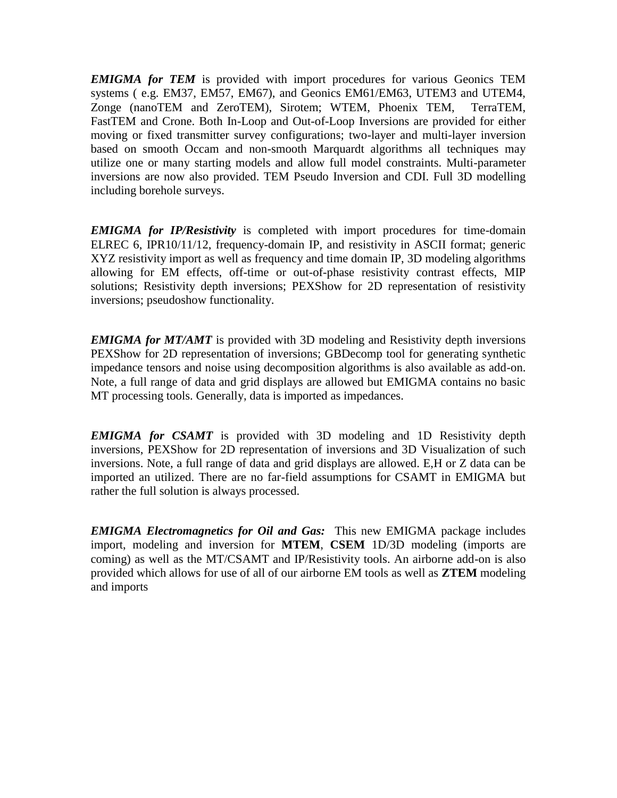*EMIGMA for TEM* is provided with import procedures for various Geonics TEM systems ( e.g. EM37, EM57, EM67), and Geonics EM61/EM63, UTEM3 and UTEM4, Zonge (nanoTEM and ZeroTEM), Sirotem; WTEM, Phoenix TEM, TerraTEM, FastTEM and Crone. Both In-Loop and Out-of-Loop Inversions are provided for either moving or fixed transmitter survey configurations; two-layer and multi-layer inversion based on smooth Occam and non-smooth Marquardt algorithms all techniques may utilize one or many starting models and allow full model constraints. Multi-parameter inversions are now also provided. TEM Pseudo Inversion and CDI. Full 3D modelling including borehole surveys.

*EMIGMA for IP/Resistivity* is completed with import procedures for time-domain ELREC 6, IPR10/11/12, frequency-domain IP, and resistivity in ASCII format; generic XYZ resistivity import as well as frequency and time domain IP, 3D modeling algorithms allowing for EM effects, off-time or out-of-phase resistivity contrast effects, MIP solutions; Resistivity depth inversions; PEXShow for 2D representation of resistivity inversions; pseudoshow functionality.

*EMIGMA for MT/AMT* is provided with 3D modeling and Resistivity depth inversions PEXShow for 2D representation of inversions; GBDecomp tool for generating synthetic impedance tensors and noise using decomposition algorithms is also available as add-on. Note, a full range of data and grid displays are allowed but EMIGMA contains no basic MT processing tools. Generally, data is imported as impedances.

*EMIGMA for CSAMT* is provided with 3D modeling and 1D Resistivity depth inversions, PEXShow for 2D representation of inversions and 3D Visualization of such inversions. Note, a full range of data and grid displays are allowed. E,H or Z data can be imported an utilized. There are no far-field assumptions for CSAMT in EMIGMA but rather the full solution is always processed.

*EMIGMA Electromagnetics for Oil and Gas:* This new EMIGMA package includes import, modeling and inversion for **MTEM**, **CSEM** 1D/3D modeling (imports are coming) as well as the MT/CSAMT and IP/Resistivity tools. An airborne add-on is also provided which allows for use of all of our airborne EM tools as well as **ZTEM** modeling and imports